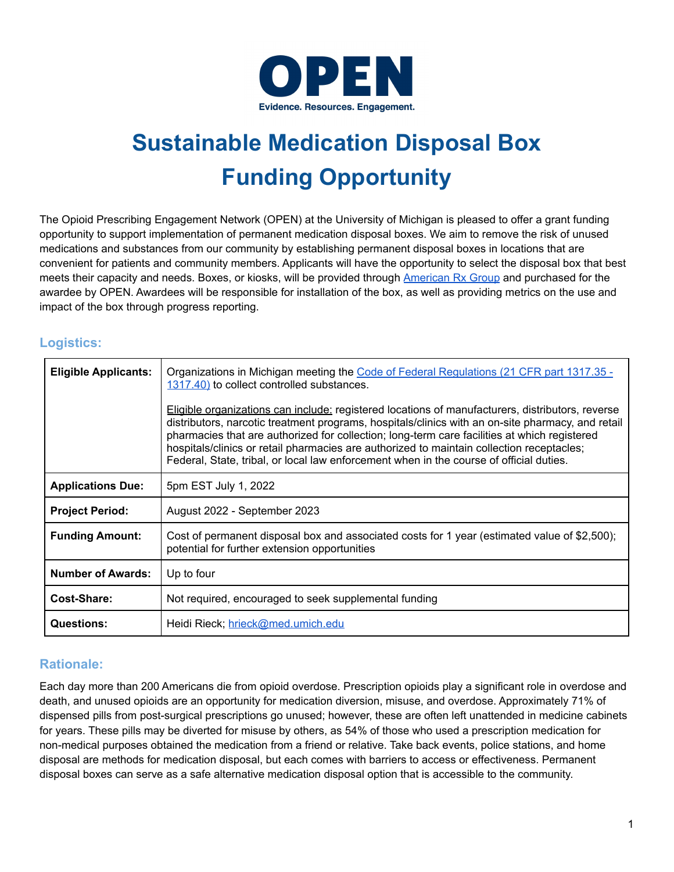

# **Sustainable Medication Disposal Box Funding Opportunity**

The Opioid Prescribing Engagement Network (OPEN) at the University of Michigan is pleased to offer a grant funding opportunity to support implementation of permanent medication disposal boxes. We aim to remove the risk of unused medications and substances from our community by establishing permanent disposal boxes in locations that are convenient for patients and community members. Applicants will have the opportunity to select the disposal box that best meets their capacity and needs. Boxes, or kiosks, will be provided through [American](https://americanrxgroup.com/) Rx Group and purchased for the awardee by OPEN. Awardees will be responsible for installation of the box, as well as providing metrics on the use and impact of the box through progress reporting.

## **Logistics:**

| <b>Eligible Applicants:</b> | Organizations in Michigan meeting the Code of Federal Regulations (21 CFR part 1317.35 -<br>1317.40) to collect controlled substances.<br>Eligible organizations can include: registered locations of manufacturers, distributors, reverse<br>distributors, narcotic treatment programs, hospitals/clinics with an on-site pharmacy, and retail<br>pharmacies that are authorized for collection; long-term care facilities at which registered<br>hospitals/clinics or retail pharmacies are authorized to maintain collection receptacles;<br>Federal, State, tribal, or local law enforcement when in the course of official duties. |
|-----------------------------|-----------------------------------------------------------------------------------------------------------------------------------------------------------------------------------------------------------------------------------------------------------------------------------------------------------------------------------------------------------------------------------------------------------------------------------------------------------------------------------------------------------------------------------------------------------------------------------------------------------------------------------------|
| <b>Applications Due:</b>    | 5pm EST July 1, 2022                                                                                                                                                                                                                                                                                                                                                                                                                                                                                                                                                                                                                    |
| <b>Project Period:</b>      | August 2022 - September 2023                                                                                                                                                                                                                                                                                                                                                                                                                                                                                                                                                                                                            |
| <b>Funding Amount:</b>      | Cost of permanent disposal box and associated costs for 1 year (estimated value of \$2,500);<br>potential for further extension opportunities                                                                                                                                                                                                                                                                                                                                                                                                                                                                                           |
| <b>Number of Awards:</b>    | Up to four                                                                                                                                                                                                                                                                                                                                                                                                                                                                                                                                                                                                                              |
| Cost-Share:                 | Not required, encouraged to seek supplemental funding                                                                                                                                                                                                                                                                                                                                                                                                                                                                                                                                                                                   |
| <b>Questions:</b>           | Heidi Rieck; hrieck@med.umich.edu                                                                                                                                                                                                                                                                                                                                                                                                                                                                                                                                                                                                       |

## **Rationale:**

Each day more than 200 Americans die from opioid overdose. Prescription opioids play a significant role in overdose and death, and unused opioids are an opportunity for medication diversion, misuse, and overdose. Approximately 71% of dispensed pills from post-surgical prescriptions go unused; however, these are often left unattended in medicine cabinets for years. These pills may be diverted for misuse by others, as 54% of those who used a prescription medication for non-medical purposes obtained the medication from a friend or relative. Take back events, police stations, and home disposal are methods for medication disposal, but each comes with barriers to access or effectiveness. Permanent disposal boxes can serve as a safe alternative medication disposal option that is accessible to the community.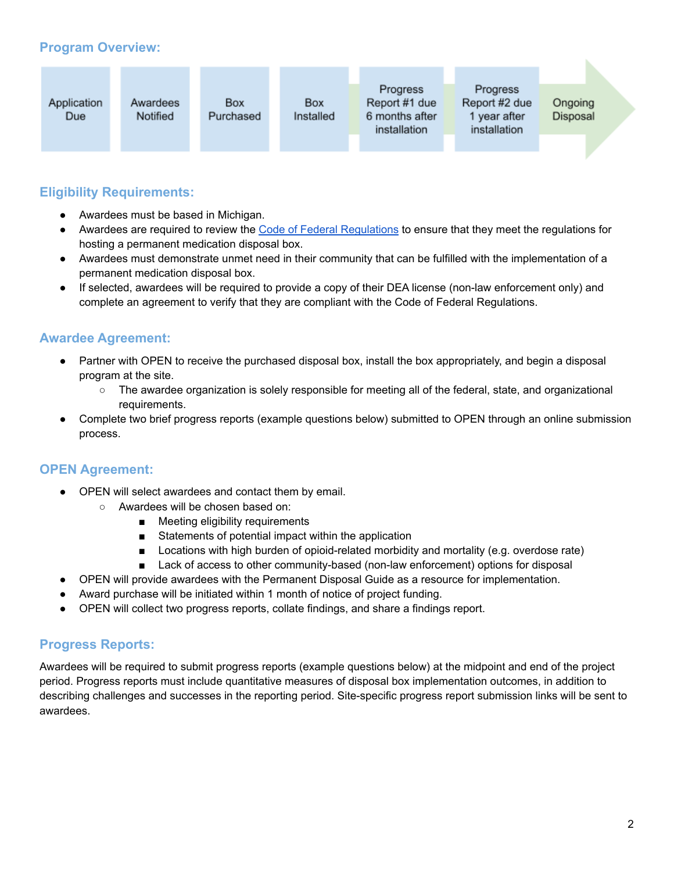# **Program Overview:**

| Application | Awardees | Box       | <b>Box</b> | Progress<br>Report #1 due      | Progress<br>Report #2 due    | Ongoing  |  |
|-------------|----------|-----------|------------|--------------------------------|------------------------------|----------|--|
| Due         | Notified | Purchased | Installed  | 6 months after<br>installation | 1 year after<br>installation | Disposal |  |

## **Eligibility Requirements:**

- Awardees must be based in Michigan.
- Awardees are required to review the Code of Federal [Regulations](https://www.ecfr.gov/current/title-21/chapter-II/part-1317) to ensure that they meet the regulations for hosting a permanent medication disposal box.
- Awardees must demonstrate unmet need in their community that can be fulfilled with the implementation of a permanent medication disposal box.
- If selected, awardees will be required to provide a copy of their DEA license (non-law enforcement only) and complete an agreement to verify that they are compliant with the Code of Federal Regulations.

## **Awardee Agreement:**

- Partner with OPEN to receive the purchased disposal box, install the box appropriately, and begin a disposal program at the site.
	- The awardee organization is solely responsible for meeting all of the federal, state, and organizational requirements.
- Complete two brief progress reports (example questions below) submitted to OPEN through an online submission process.

# **OPEN Agreement:**

- OPEN will select awardees and contact them by email.
	- Awardees will be chosen based on:
		- Meeting eligibility requirements
		- Statements of potential impact within the application
		- Locations with high burden of opioid-related morbidity and mortality (e.g. overdose rate)
		- Lack of access to other community-based (non-law enforcement) options for disposal
- OPEN will provide awardees with the Permanent Disposal Guide as a resource for implementation.
- Award purchase will be initiated within 1 month of notice of project funding.
- OPEN will collect two progress reports, collate findings, and share a findings report.

## **Progress Reports:**

Awardees will be required to submit progress reports (example questions below) at the midpoint and end of the project period. Progress reports must include quantitative measures of disposal box implementation outcomes, in addition to describing challenges and successes in the reporting period. Site-specific progress report submission links will be sent to awardees.

ь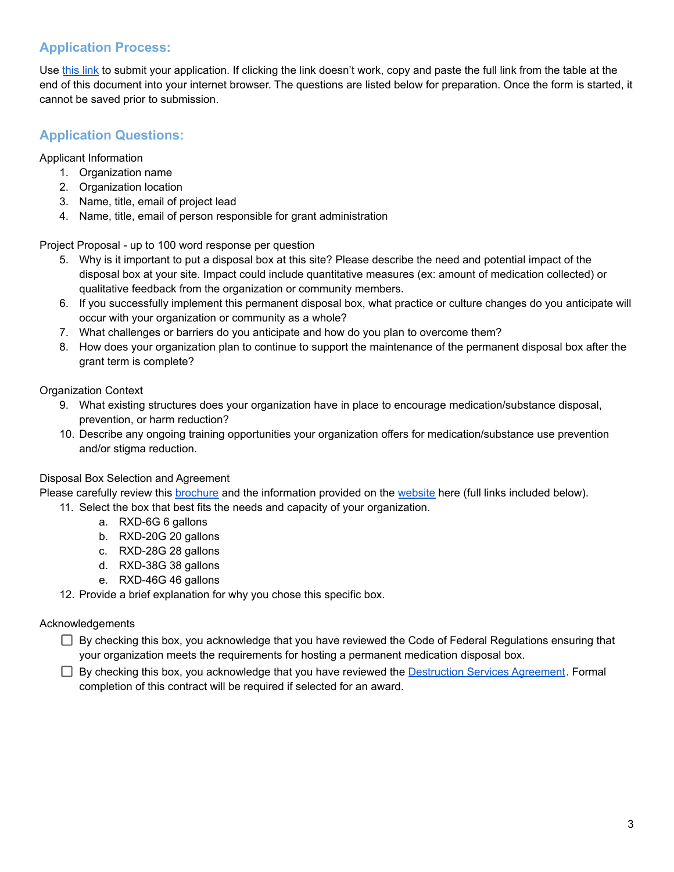# **Application Process:**

Use [this](https://forms.gle/ZAg7vLkdbEuR66oq5) link to submit your application. If clicking the link doesn't work, copy and paste the full link from the table at the end of this document into your internet browser. The questions are listed below for preparation. Once the form is started, it cannot be saved prior to submission.

# **Application Questions:**

Applicant Information

- 1. Organization name
- 2. Organization location
- 3. Name, title, email of project lead
- 4. Name, title, email of person responsible for grant administration

Project Proposal - up to 100 word response per question

- 5. Why is it important to put a disposal box at this site? Please describe the need and potential impact of the disposal box at your site. Impact could include quantitative measures (ex: amount of medication collected) or qualitative feedback from the organization or community members.
- 6. If you successfully implement this permanent disposal box, what practice or culture changes do you anticipate will occur with your organization or community as a whole?
- 7. What challenges or barriers do you anticipate and how do you plan to overcome them?
- 8. How does your organization plan to continue to support the maintenance of the permanent disposal box after the grant term is complete?

Organization Context

- 9. What existing structures does your organization have in place to encourage medication/substance disposal, prevention, or harm reduction?
- 10. Describe any ongoing training opportunities your organization offers for medication/substance use prevention and/or stigma reduction.

## Disposal Box Selection and Agreement

Please carefully review this [brochure](https://americanrxgroup.com/wp-content/uploads/2022/02/ARXG-Medication-Disposal-Slick-2022.pdf) and the information provided on the [website](https://americansecuritycabinets.com/products/medication-disposal-boxes/) here (full links included below).

- 11. Select the box that best fits the needs and capacity of your organization.
	- a. RXD-6G 6 gallons
	- b. RXD-20G 20 gallons
	- c. RXD-28G 28 gallons
	- d. RXD-38G 38 gallons
	- e. RXD-46G 46 gallons

12. Provide a brief explanation for why you chose this specific box.

## Acknowledgements

By checking this box, you acknowledge that you have reviewed the Code of Federal Regulations ensuring that your organization meets the requirements for hosting a permanent medication disposal box.

 $\Box$  By checking this box, you acknowledge that you have reviewed the [Destruction](https://drive.google.com/file/d/1S1JvIaLTzLgNdXHRqL29ASfKbjyyKITV/view?usp=sharing) Services Agreement. Formal completion of this contract will be required if selected for an award.